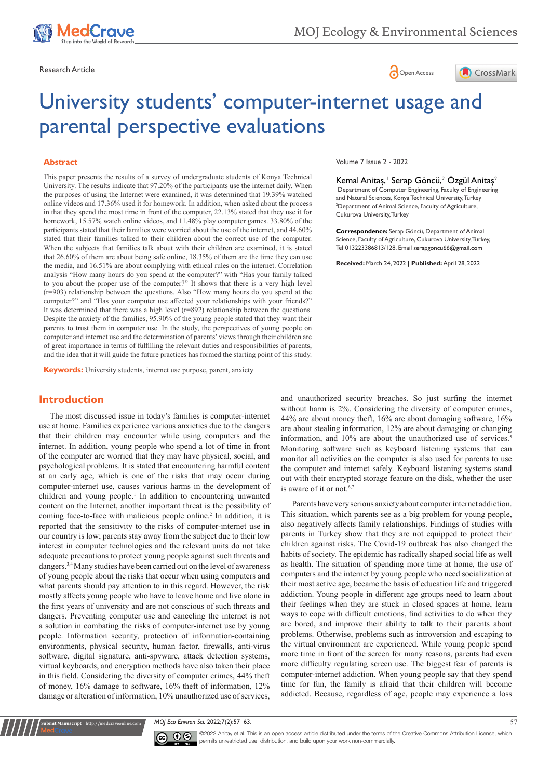





# University students' computer-internet usage and parental perspective evaluations

#### **Abstract**

This paper presents the results of a survey of undergraduate students of Konya Technical University. The results indicate that 97.20% of the participants use the internet daily. When the purposes of using the Internet were examined, it was determined that 19.39% watched online videos and 17.36% used it for homework. In addition, when asked about the process in that they spend the most time in front of the computer, 22.13% stated that they use it for homework, 15.57% watch online videos, and 11.48% play computer games. 33.80% of the participants stated that their families were worried about the use of the internet, and 44.60% stated that their families talked to their children about the correct use of the computer. When the subjects that families talk about with their children are examined, it is stated that 26.60% of them are about being safe online, 18.35% of them are the time they can use the media, and 16.51% are about complying with ethical rules on the internet. Correlation analysis "How many hours do you spend at the computer?" with "Has your family talked to you about the proper use of the computer?" It shows that there is a very high level (r=903) relationship between the questions. Also "How many hours do you spend at the computer?" and "Has your computer use affected your relationships with your friends?" It was determined that there was a high level  $(r=892)$  relationship between the questions. Despite the anxiety of the families, 95.90% of the young people stated that they want their parents to trust them in computer use. In the study, the perspectives of young people on computer and internet use and the determination of parents' views through their children are of great importance in terms of fulfilling the relevant duties and responsibilities of parents, and the idea that it will guide the future practices has formed the starting point of this study.

**Keywords:** University students, internet use purpose, parent, anxiety

# **Introduction**

The most discussed issue in today's families is computer-internet use at home. Families experience various anxieties due to the dangers that their children may encounter while using computers and the internet. In addition, young people who spend a lot of time in front of the computer are worried that they may have physical, social, and psychological problems. It is stated that encountering harmful content at an early age, which is one of the risks that may occur during computer-internet use, causes various harms in the development of children and young people.<sup>1</sup> In addition to encountering unwanted content on the Internet, another important threat is the possibility of coming face-to-face with malicious people online.<sup>2</sup> In addition, it is reported that the sensitivity to the risks of computer-internet use in our country is low; parents stay away from the subject due to their low interest in computer technologies and the relevant units do not take adequate precautions to protect young people against such threats and dangers.3,4 Many studies have been carried out on the level of awareness of young people about the risks that occur when using computers and what parents should pay attention to in this regard. However, the risk mostly affects young people who have to leave home and live alone in the first years of university and are not conscious of such threats and dangers. Preventing computer use and canceling the internet is not a solution in combating the risks of computer-internet use by young people. Information security, protection of information-containing environments, physical security, human factor, firewalls, anti-virus software, digital signature, anti-spyware, attack detection systems, virtual keyboards, and encryption methods have also taken their place in this field. Considering the diversity of computer crimes, 44% theft of money, 16% damage to software, 16% theft of information, 12% damage or alteration of information, 10% unauthorized use of services,

Volume 7 Issue 2 - 2022

Kemal Anitaş,<sup>ı</sup> Serap Göncü,<sup>2</sup> Özgül Anitaş<sup>2</sup> 1 Department of Computer Engineering, Faculty of Engineering and Natural Sciences, Konya Technical University, Turkey <sup>2</sup>Department of Animal Science, Faculty of Agriculture, Cukurova University, Turkey

**Correspondence:** Serap Göncü, Department of Animal Science, Faculty of Agriculture, Cukurova University, Turkey, Tel 013223386813/128, Email serapgoncu66@gmail.com

**Received:** March 24, 2022 | **Published:** April 28, 2022

and unauthorized security breaches. So just surfing the internet without harm is 2%. Considering the diversity of computer crimes, 44% are about money theft, 16% are about damaging software, 16% are about stealing information, 12% are about damaging or changing information, and 10% are about the unauthorized use of services.<sup>5</sup> Monitoring software such as keyboard listening systems that can monitor all activities on the computer is also used for parents to use the computer and internet safely. Keyboard listening systems stand out with their encrypted storage feature on the disk, whether the user is aware of it or not.<sup>6,7</sup>

Parents have very serious anxiety about computer internet addiction. This situation, which parents see as a big problem for young people, also negatively affects family relationships. Findings of studies with parents in Turkey show that they are not equipped to protect their children against risks. The Covid-19 outbreak has also changed the habits of society. The epidemic has radically shaped social life as well as health. The situation of spending more time at home, the use of computers and the internet by young people who need socialization at their most active age, became the basis of education life and triggered addiction. Young people in different age groups need to learn about their feelings when they are stuck in closed spaces at home, learn ways to cope with difficult emotions, find activities to do when they are bored, and improve their ability to talk to their parents about problems. Otherwise, problems such as introversion and escaping to the virtual environment are experienced. While young people spend more time in front of the screen for many reasons, parents had even more difficulty regulating screen use. The biggest fear of parents is computer-internet addiction. When young people say that they spend time for fun, the family is afraid that their children will become addicted. Because, regardless of age, people may experience a loss

*MOJ Eco Environ Sci.* 2022;7(2):57‒63. 57



**it Manuscript** | http://medcraveonline.c

 $\overline{\text{cc}}$   $\overline{\text{C}}$   $\odot$   $\odot$  2022 Anitas et al. This is an open access article distributed under the terms of the [Creative Commons Attribution License](https://creativecommons.org/licenses/by-nc/4.0/), which permits unrestricted use, distribution, and build upon your work non-commercially.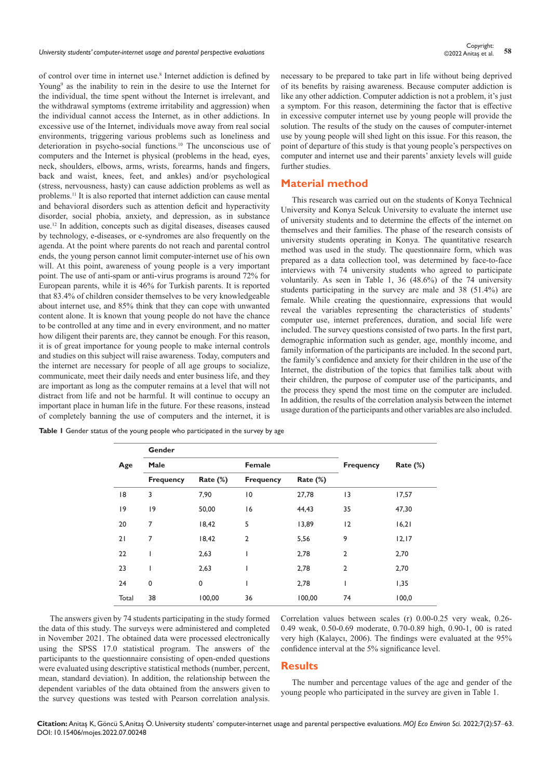*University students' computer-internet usage and parental perspective evaluations* **<sup>58</sup>** Copyright:

of control over time in internet use.<sup>8</sup> Internet addiction is defined by Young<sup>9</sup> as the inability to rein in the desire to use the Internet for the individual, the time spent without the Internet is irrelevant, and the withdrawal symptoms (extreme irritability and aggression) when the individual cannot access the Internet, as in other addictions. In excessive use of the Internet, individuals move away from real social environments, triggering various problems such as loneliness and deterioration in psycho-social functions.10 The unconscious use of computers and the Internet is physical (problems in the head, eyes, neck, shoulders, elbows, arms, wrists, forearms, hands and fingers, back and waist, knees, feet, and ankles) and/or psychological (stress, nervousness, hasty) can cause addiction problems as well as problems.<sup>11</sup> It is also reported that internet addiction can cause mental and behavioral disorders such as attention deficit and hyperactivity disorder, social phobia, anxiety, and depression, as in substance use.12 In addition, concepts such as digital diseases, diseases caused by technology, e-diseases, or e-syndromes are also frequently on the agenda. At the point where parents do not reach and parental control ends, the young person cannot limit computer-internet use of his own will. At this point, awareness of young people is a very important point. The use of anti-spam or anti-virus programs is around 72% for European parents, while it is 46% for Turkish parents. It is reported that 83.4% of children consider themselves to be very knowledgeable about internet use, and 85% think that they can cope with unwanted content alone. It is known that young people do not have the chance to be controlled at any time and in every environment, and no matter how diligent their parents are, they cannot be enough. For this reason, it is of great importance for young people to make internal controls and studies on this subject will raise awareness. Today, computers and the internet are necessary for people of all age groups to socialize, communicate, meet their daily needs and enter business life, and they are important as long as the computer remains at a level that will not distract from life and not be harmful. It will continue to occupy an important place in human life in the future. For these reasons, instead of completely banning the use of computers and the internet, it is

necessary to be prepared to take part in life without being deprived of its benefits by raising awareness. Because computer addiction is like any other addiction. Computer addiction is not a problem, it's just a symptom. For this reason, determining the factor that is effective in excessive computer internet use by young people will provide the solution. The results of the study on the causes of computer-internet use by young people will shed light on this issue. For this reason, the point of departure of this study is that young people's perspectives on computer and internet use and their parents' anxiety levels will guide further studies.

### **Material method**

This research was carried out on the students of Konya Technical University and Konya Selcuk University to evaluate the internet use of university students and to determine the effects of the internet on themselves and their families. The phase of the research consists of university students operating in Konya. The quantitative research method was used in the study. The questionnaire form, which was prepared as a data collection tool, was determined by face-to-face interviews with 74 university students who agreed to participate voluntarily. As seen in Table 1, 36 (48.6%) of the 74 university students participating in the survey are male and 38 (51.4%) are female. While creating the questionnaire, expressions that would reveal the variables representing the characteristics of students' computer use, internet preferences, duration, and social life were included. The survey questions consisted of two parts. In the first part, demographic information such as gender, age, monthly income, and family information of the participants are included. In the second part, the family's confidence and anxiety for their children in the use of the Internet, the distribution of the topics that families talk about with their children, the purpose of computer use of the participants, and the process they spend the most time on the computer are included. In addition, the results of the correlation analysis between the internet usage duration of the participants and other variables are also included.

|       | Gender           |             |                  |             |                  |             |  |
|-------|------------------|-------------|------------------|-------------|------------------|-------------|--|
| Age   | Male             |             | Female           |             | <b>Frequency</b> | Rate $(\%)$ |  |
|       | <b>Frequency</b> | Rate $(\%)$ | <b>Frequency</b> | Rate $(\%)$ |                  |             |  |
| 18    | 3                | 7,90        | $\overline{10}$  | 27,78       | 3                | 17,57       |  |
| 19    | $ 9\rangle$      | 50,00       | 16               | 44,43       | 35               | 47,30       |  |
| 20    | 7                | 18,42       | 5                | 13,89       | 12               | 16,21       |  |
| 21    | 7                | 18,42       | $\overline{2}$   | 5,56        | 9                | 12,17       |  |
| 22    | I                | 2,63        |                  | 2,78        | $\overline{2}$   | 2,70        |  |
| 23    | I                | 2,63        |                  | 2,78        | $\overline{2}$   | 2,70        |  |
| 24    | 0                | 0           |                  | 2,78        |                  | 1,35        |  |
| Total | 38               | 100,00      | 36               | 100,00      | 74               | 100,0       |  |

**Table 1** Gender status of the young people who participated in the survey by age

The answers given by 74 students participating in the study formed the data of this study. The surveys were administered and completed in November 2021. The obtained data were processed electronically using the SPSS 17.0 statistical program. The answers of the participants to the questionnaire consisting of open-ended questions were evaluated using descriptive statistical methods (number, percent, mean, standard deviation). In addition, the relationship between the dependent variables of the data obtained from the answers given to the survey questions was tested with Pearson correlation analysis.

Correlation values between scales (r) 0.00-0.25 very weak, 0.26- 0.49 weak, 0.50-0.69 moderate, 0.70-0.89 high, 0.90-1, 00 is rated very high (Kalaycı, 2006). The findings were evaluated at the 95% confidence interval at the 5% significance level.

#### **Results**

The number and percentage values of the age and gender of the young people who participated in the survey are given in Table 1.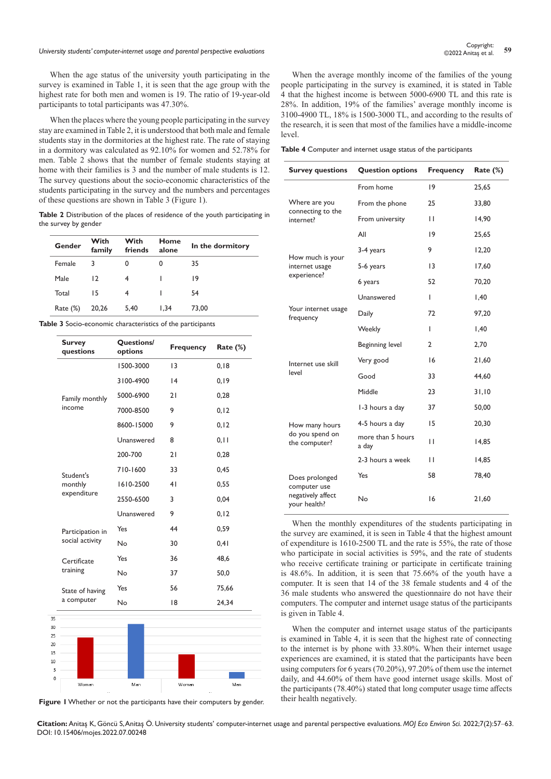# Copyright:<br>1.59 Dhiversity students' computer-internet usage and parental perspective evaluations<br>1.59 Copyright: 59 Copyright: 59 Copyright: 59 Copyright: 59 Copyright: 59 Copyright: 59 Copyright: 59 Copyright

When the age status of the university youth participating in the survey is examined in Table 1, it is seen that the age group with the highest rate for both men and women is 19. The ratio of 19-year-old participants to total participants was 47.30%.

When the places where the young people participating in the survey stay are examined in Table 2, it is understood that both male and female students stay in the dormitories at the highest rate. The rate of staying in a dormitory was calculated as 92.10% for women and 52.78% for men. Table 2 shows that the number of female students staying at home with their families is 3 and the number of male students is 12. The survey questions about the socio-economic characteristics of the students participating in the survey and the numbers and percentages of these questions are shown in Table 3 (Figure 1).

**Table 2** Distribution of the places of residence of the youth participating in the survey by gender

| Gender      | With<br>family | With<br>friends | Home<br>alone | In the dormitory |
|-------------|----------------|-----------------|---------------|------------------|
| Female      | 3              | 0               | 0             | 35               |
| Male        | 12             | 4               |               | 19               |
| Total       | 15             |                 |               | 54               |
| Rate $(\%)$ | 20,26          | 5,40            | 1.34          | 73.00            |

**Table 3** Socio-economic characteristics of the participants

| <b>Survey</b><br>questions | Questions/<br>options | <b>Frequency</b> | Rate $(\%)$ |
|----------------------------|-----------------------|------------------|-------------|
|                            | 1500-3000             | 13               | 0, 18       |
|                            | 3100-4900             | 4                | 0, 19       |
| Family monthly             | 5000-6900             | 21               | 0,28        |
| income                     | 7000-8500             | 9                | 0, 12       |
|                            | 8600-15000            | 9                | 0, 12       |
|                            | Unanswered            | 8                | 0, 11       |
|                            | 200-700               | 21               | 0,28        |
| Student's                  | 710-1600              | 33               | 0,45        |
| monthly                    | 1610-2500             | 41               | 0,55        |
| expenditure                | 2550-6500             | 3                | 0,04        |
|                            | Unanswered            | 9                | 0, 12       |
| Participation in           | Yes                   | 44               | 0,59        |
| social activity            | No                    | 30               | 0,41        |
| Certificate                | Yes                   | 36               | 48,6        |
| training                   | No                    | 37               | 50,0        |
| State of having            | Yes                   | 56               | 75,66       |
| a computer                 | No                    | 18               | 24,34       |



**Figure 1** Whether or not the participants have their computers by gender.

When the average monthly income of the families of the young people participating in the survey is examined, it is stated in Table 4 that the highest income is between 5000-6900 TL and this rate is 28%. In addition, 19% of the families' average monthly income is 3100-4900 TL, 18% is 1500-3000 TL, and according to the results of the research, it is seen that most of the families have a middle-income level.

**Table 4** Computer and internet usage status of the participants

| <b>Survey questions</b>           | <b>Question options</b>    | <b>Frequency</b> | Rate (%) |
|-----------------------------------|----------------------------|------------------|----------|
|                                   | From home                  | 9                | 25,65    |
| Where are you                     | From the phone             | 25               | 33,80    |
| connecting to the<br>internet?    | From university            | $\mathbf{H}$     | 14,90    |
|                                   | All                        | 9                | 25,65    |
| How much is your                  | 3-4 years                  | 9                | 12,20    |
| internet usage                    | 5-6 years                  | $\overline{13}$  | 17,60    |
| experience?                       | 6 years                    | 52               | 70,20    |
|                                   | Unanswered                 | T                | 1,40     |
| Your internet usage<br>frequency  | Daily                      | 72               | 97,20    |
|                                   | Weekly                     | I                | 1,40     |
|                                   | Beginning level            | 2                | 2,70     |
| Internet use skill                | Very good                  | 16               | 21,60    |
| level                             | Good                       | 33               | 44,60    |
|                                   | Middle                     | 23               | 31,10    |
|                                   | 1-3 hours a day            | 37               | 50,00    |
| How many hours                    | 4-5 hours a day            | 15               | 20,30    |
| do you spend on<br>the computer?  | more than 5 hours<br>a day | $\mathbf{H}$     | 14,85    |
|                                   | 2-3 hours a week           | $\mathbf{H}$     | 14,85    |
| Does prolonged<br>computer use    | Yes                        | 58               | 78,40    |
| negatively affect<br>your health? | No                         | 16               | 21,60    |

When the monthly expenditures of the students participating in the survey are examined, it is seen in Table 4 that the highest amount of expenditure is 1610-2500 TL and the rate is 55%, the rate of those who participate in social activities is 59%, and the rate of students who receive certificate training or participate in certificate training is 48.6%. In addition, it is seen that 75.66% of the youth have a computer. It is seen that 14 of the 38 female students and 4 of the 36 male students who answered the questionnaire do not have their computers. The computer and internet usage status of the participants is given in Table 4.

When the computer and internet usage status of the participants is examined in Table 4, it is seen that the highest rate of connecting to the internet is by phone with 33.80%. When their internet usage experiences are examined, it is stated that the participants have been using computers for 6 years (70.20%), 97.20% of them use the internet daily, and 44.60% of them have good internet usage skills. Most of the participants (78.40%) stated that long computer usage time affects their health negatively.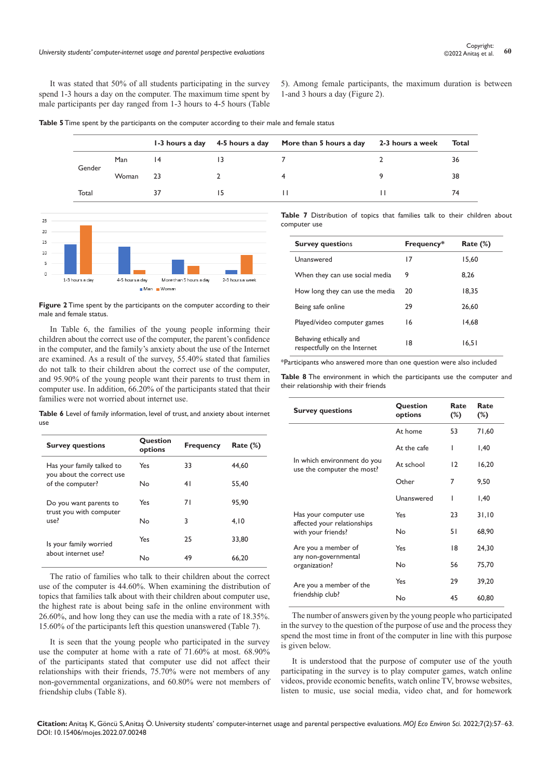It was stated that 50% of all students participating in the survey spend 1-3 hours a day on the computer. The maximum time spent by male participants per day ranged from 1-3 hours to 4-5 hours (Table

5). Among female participants, the maximum duration is between 1-and 3 hours a day (Figure 2).

**Table 5** Time spent by the participants on the computer according to their male and female status

|        |       |     | 1-3 hours a day 4-5 hours a day More than 5 hours a day 2-3 hours a week | Total |
|--------|-------|-----|--------------------------------------------------------------------------|-------|
| Gender | Man   | 14  |                                                                          | 36    |
|        | Woman | -23 | 4                                                                        | 38    |
| Total  |       | 37  |                                                                          |       |
|        |       |     |                                                                          |       |



**Figure 2** Time spent by the participants on the computer according to their male and female status.

In Table 6, the families of the young people informing their children about the correct use of the computer, the parent's confidence in the computer, and the family's anxiety about the use of the Internet are examined. As a result of the survey, 55.40% stated that families do not talk to their children about the correct use of the computer, and 95.90% of the young people want their parents to trust them in computer use. In addition, 66.20% of the participants stated that their families were not worried about internet use.

**Table 6** Level of family information, level of trust, and anxiety about internet use

| <b>Survey questions</b>                                | Question<br>options | <b>Frequency</b> | Rate $(\%)$ |
|--------------------------------------------------------|---------------------|------------------|-------------|
| Has your family talked to<br>you about the correct use | Yes                 | 33               | 44,60       |
| of the computer?                                       | Nο                  | 41               | 55.40       |
| Do you want parents to<br>trust you with computer      | Yes                 | 71               | 95.90       |
| use?                                                   | N <sub>o</sub>      | 3                | 4.10        |
| Is your family worried                                 | Yes                 | 25               | 33.80       |
| about internet use?                                    | Nο                  | 49               | 66,20       |

The ratio of families who talk to their children about the correct use of the computer is 44.60%. When examining the distribution of topics that families talk about with their children about computer use, the highest rate is about being safe in the online environment with 26.60%, and how long they can use the media with a rate of 18.35%. 15.60% of the participants left this question unanswered (Table 7).

It is seen that the young people who participated in the survey use the computer at home with a rate of 71.60% at most. 68.90% of the participants stated that computer use did not affect their relationships with their friends, 75.70% were not members of any non-governmental organizations, and 60.80% were not members of friendship clubs (Table 8).

**Table 7** Distribution of topics that families talk to their children about computer use

| <b>Survey questions</b>                                | Frequency* | Rate $(\%)$ |
|--------------------------------------------------------|------------|-------------|
| Unanswered                                             | 17         | 15.60       |
| When they can use social media                         | 9          | 8.26        |
| How long they can use the media                        | 20         | 18,35       |
| Being safe online                                      | 29         | 26.60       |
| Played/video computer games                            | 16         | 14.68       |
| Behaving ethically and<br>respectfully on the Internet | 18         | 16,51       |

\*Participants who answered more than one question were also included

**Table 8** The environment in which the participants use the computer and their relationship with their friends

| <b>Survey questions</b>                                   | Question<br>options | Rate<br>$(\%)$ | Rate<br>$(\%)$ |
|-----------------------------------------------------------|---------------------|----------------|----------------|
|                                                           | At home             | 53             | 71,60          |
|                                                           | At the cafe         | ı              | 1,40           |
| In which environment do you<br>use the computer the most? | At school           | 12             | 16,20          |
|                                                           | Other               | 7              | 9,50           |
|                                                           | Unanswered          | ı              | 1,40           |
| Has your computer use                                     | Yes                 | 23             | 31,10          |
| affected your relationships<br>with your friends?         | Nο                  | 51             | 68,90          |
| Are you a member of                                       | Yes                 | 18             | 24,30          |
| any non-governmental<br>organization?                     | No                  | 56             | 75,70          |
| Are you a member of the                                   | Yes                 | 29             | 39,20          |
| friendship club?                                          | No                  | 45             | 60,80          |

The number of answers given by the young people who participated in the survey to the question of the purpose of use and the process they spend the most time in front of the computer in line with this purpose is given below.

It is understood that the purpose of computer use of the youth participating in the survey is to play computer games, watch online videos, provide economic benefits, watch online TV, browse websites, listen to music, use social media, video chat, and for homework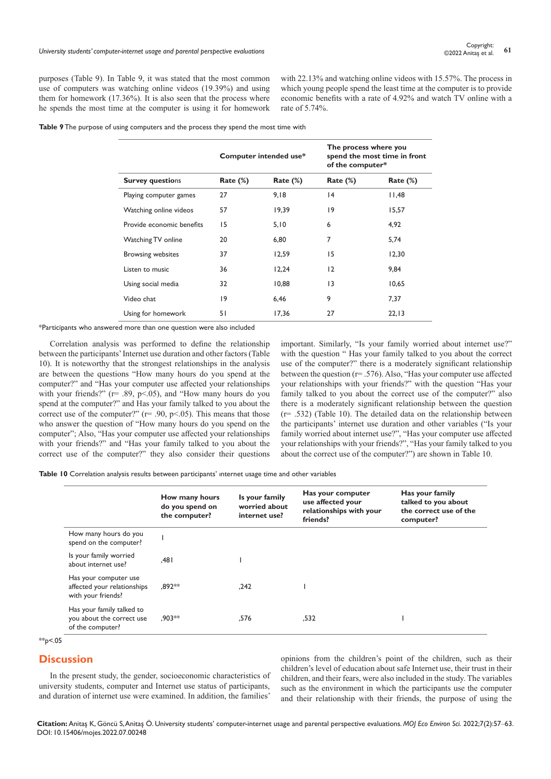purposes (Table 9). In Table 9, it was stated that the most common use of computers was watching online videos (19.39%) and using them for homework (17.36%). It is also seen that the process where he spends the most time at the computer is using it for homework

with 22.13% and watching online videos with 15.57%. The process in which young people spend the least time at the computer is to provide economic benefits with a rate of 4.92% and watch TV online with a rate of 5.74%.

**Table 9** The purpose of using computers and the process they spend the most time with

|                           |             | Computer intended use* | The process where you<br>spend the most time in front<br>of the computer* |             |
|---------------------------|-------------|------------------------|---------------------------------------------------------------------------|-------------|
| <b>Survey questions</b>   | Rate $(\%)$ | Rate $(\%)$            | Rate $(\%)$                                                               | Rate $(\%)$ |
| Playing computer games    | 27          | 9,18                   | 4                                                                         | 11,48       |
| Watching online videos    | 57          | 19,39                  | 9                                                                         | 15,57       |
| Provide economic benefits | 15          | 5,10                   | 6                                                                         | 4,92        |
| Watching TV online        | 20          | 6,80                   | 7                                                                         | 5,74        |
| <b>Browsing websites</b>  | 37          | 12,59                  | 15                                                                        | 12,30       |
| Listen to music           | 36          | 12,24                  | 12                                                                        | 9,84        |
| Using social media        | 32          | 10,88                  | $\overline{13}$                                                           | 10,65       |
| Video chat                | 9           | 6,46                   | 9                                                                         | 7,37        |
| Using for homework        | 51          | 17,36                  | 27                                                                        | 22,13       |

\*Participants who answered more than one question were also included

Correlation analysis was performed to define the relationship between the participants' Internet use duration and other factors (Table 10). It is noteworthy that the strongest relationships in the analysis are between the questions "How many hours do you spend at the computer?" and "Has your computer use affected your relationships with your friends?" (r= .89, p<.05), and "How many hours do you spend at the computer?" and Has your family talked to you about the correct use of the computer?" ( $r = .90$ ,  $p < .05$ ). This means that those who answer the question of "How many hours do you spend on the computer"; Also, "Has your computer use affected your relationships with your friends?" and "Has your family talked to you about the correct use of the computer?" they also consider their questions

important. Similarly, "Is your family worried about internet use?" with the question " Has your family talked to you about the correct use of the computer?" there is a moderately significant relationship between the question (r= .576). Also, "Has your computer use affected your relationships with your friends?" with the question "Has your family talked to you about the correct use of the computer?" also there is a moderately significant relationship between the question (r= .532) (Table 10). The detailed data on the relationship between the participants' internet use duration and other variables ("Is your family worried about internet use?", "Has your computer use affected your relationships with your friends?", "Has your family talked to you about the correct use of the computer?") are shown in Table 10.

**Table 10** Correlation analysis results between participants' ınternet usage time and other variables

|                                                                            | How many hours<br>do you spend on<br>the computer? | Is your family<br>worried about<br>internet use? | Has your computer<br>use affected your<br>relationships with your<br>friends? | Has your family<br>talked to you about<br>the correct use of the<br>computer? |
|----------------------------------------------------------------------------|----------------------------------------------------|--------------------------------------------------|-------------------------------------------------------------------------------|-------------------------------------------------------------------------------|
| How many hours do you<br>spend on the computer?                            |                                                    |                                                  |                                                                               |                                                                               |
| Is your family worried<br>about internet use?                              | ا 48.                                              |                                                  |                                                                               |                                                                               |
| Has your computer use<br>affected your relationships<br>with your friends? | .892**                                             | .242                                             |                                                                               |                                                                               |
| Has your family talked to<br>you about the correct use<br>of the computer? | $.903**$                                           | .576                                             | .532                                                                          |                                                                               |

 $*p<.05$ 

# **Discussion**

In the present study, the gender, socioeconomic characteristics of university students, computer and Internet use status of participants, and duration of internet use were examined. In addition, the families'

opinions from the children's point of the children, such as their children's level of education about safe Internet use, their trust in their children, and their fears, were also included in the study. The variables such as the environment in which the participants use the computer and their relationship with their friends, the purpose of using the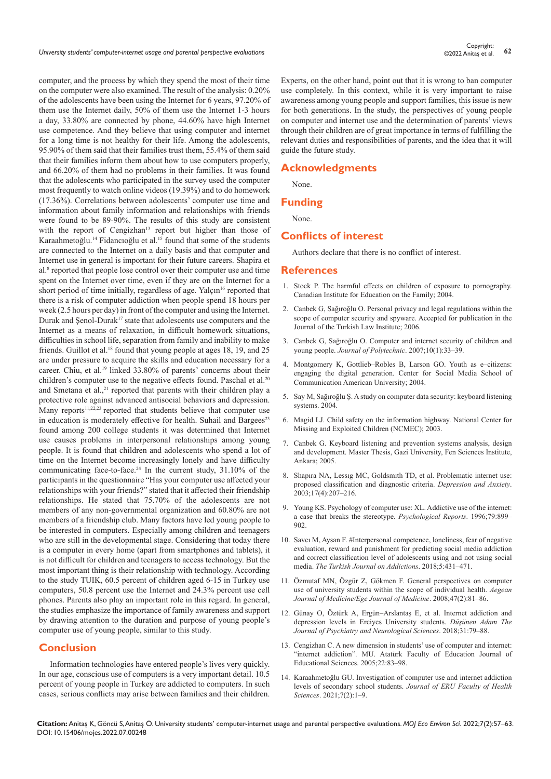computer, and the process by which they spend the most of their time on the computer were also examined. The result of the analysis: 0.20% of the adolescents have been using the Internet for 6 years, 97.20% of them use the Internet daily, 50% of them use the Internet 1-3 hours a day, 33.80% are connected by phone, 44.60% have high Internet use competence. And they believe that using computer and internet for a long time is not healthy for their life. Among the adolescents, 95.90% of them said that their families trust them, 55.4% of them said that their families inform them about how to use computers properly, and 66.20% of them had no problems in their families. It was found that the adolescents who participated in the survey used the computer most frequently to watch online videos (19.39%) and to do homework (17.36%). Correlations between adolescents' computer use time and information about family information and relationships with friends were found to be 89-90%. The results of this study are consistent with the report of Cengizhan<sup>13</sup> report but higher than those of Karaahmetoğlu.<sup>14</sup> Fidancıoğlu et al.15 found that some of the students are connected to the Internet on a daily basis and that computer and Internet use in general is important for their future careers. Shapira et al.<sup>8</sup> reported that people lose control over their computer use and time spent on the Internet over time, even if they are on the Internet for a short period of time initially, regardless of age. Yalçın<sup>16</sup> reported that there is a risk of computer addiction when people spend 18 hours per week (2.5 hours per day) in front of the computer and using the Internet. Durak and Şenol-Durak<sup>17</sup> state that adolescents use computers and the Internet as a means of relaxation, in difficult homework situations, difficulties in school life, separation from family and inability to make friends. Guillot et al.<sup>18</sup> found that young people at ages 18, 19, and 25 are under pressure to acquire the skills and education necessary for a career. Chiu, et al.<sup>19</sup> linked 33.80% of parents' concerns about their children's computer use to the negative effects found. Paschal et al.<sup>20</sup> and Smetana et al.,<sup>21</sup> reported that parents with their children play a protective role against advanced antisocial behaviors and depression. Many reports $11,22,23$  reported that students believe that computer use in education is moderately effective for health. Suhail and Bargees<sup>23</sup> found among 200 college students it was determined that Internet use causes problems in interpersonal relationships among young people. It is found that children and adolescents who spend a lot of time on the Internet become increasingly lonely and have difficulty communicating face-to-face.<sup>24</sup> In the current study,  $31.10\%$  of the participants in the questionnaire "Has your computer use affected your relationships with your friends?" stated that it affected their friendship relationships. He stated that 75.70% of the adolescents are not members of any non-governmental organization and 60.80% are not members of a friendship club. Many factors have led young people to be interested in computers. Especially among children and teenagers who are still in the developmental stage. Considering that today there is a computer in every home (apart from smartphones and tablets), it is not difficult for children and teenagers to access technology. But the most important thing is their relationship with technology. According to the study TUIK, 60.5 percent of children aged 6-15 in Turkey use computers, 50.8 percent use the Internet and 24.3% percent use cell phones. Parents also play an important role in this regard. In general, the studies emphasize the importance of family awareness and support by drawing attention to the duration and purpose of young people's computer use of young people, similar to this study.

#### **Conclusion**

Information technologies have entered people's lives very quickly. In our age, conscious use of computers is a very important detail. 10.5 percent of young people in Turkey are addicted to computers. In such cases, serious conflicts may arise between families and their children. Experts, on the other hand, point out that it is wrong to ban computer use completely. In this context, while it is very important to raise awareness among young people and support families, this issue is new for both generations. In the study, the perspectives of young people on computer and internet use and the determination of parents' views through their children are of great importance in terms of fulfilling the relevant duties and responsibilities of parents, and the idea that it will guide the future study.

#### **Acknowledgments**

None.

#### **Funding**

None.

#### **Conflicts of interest**

Authors declare that there is no conflict of interest.

#### **References**

- 1. Stock P. The harmful effects on children of exposure to pornography. Canadian Institute for Education on the Family; 2004.
- 2. Canbek G, Sağıroğlu O. Personal privacy and legal regulations within the scope of computer security and spyware. Accepted for publication in the Journal of the Turkish Law Institute; 2006.
- 3. [Canbek G, Sağıroğlu O. Computer and internet security of children and](https://dergipark.org.tr/en/pub/politeknik/issue/33024/367138)  young people. *[Journal of Polytechnic](https://dergipark.org.tr/en/pub/politeknik/issue/33024/367138)*. 2007;10(1):33–39.
- 4. [Montgomery K, Gottlieb–Robles B, Larson GO. Youth as e–citizens:](https://dra.american.edu/islandora/object/socialmediapubs%3A28/datastream/PDF/view)  [engaging the digital generation. Center for Social Media School of](https://dra.american.edu/islandora/object/socialmediapubs%3A28/datastream/PDF/view)  [Communication American University; 2004.](https://dra.american.edu/islandora/object/socialmediapubs%3A28/datastream/PDF/view)
- 5. [Say M, Sağıroğlu Ş. A study on computer data security: keyboard listening](https://ab.org.tr/ab04/tammetin/45.doc)  [systems. 2004.](https://ab.org.tr/ab04/tammetin/45.doc)
- 6. [Magid LJ. Child safety on the information highway. National Center for](http://www.safekids.com/child_safety.htm)  [Missing and Exploited Children \(NCMEC\); 2003.](http://www.safekids.com/child_safety.htm)
- 7. [Canbek G. Keyboard listening and prevention systems analysis, design](https://avesis.gazi.edu.tr/yonetilen-tez/30d60530-f796-4e47-b20d-c29d5d62bb8c/klavye-dinleme-ve-onleme-sistemleri-analiz-tasarim-ve-gelistirme)  [and development. Master Thesis, Gazi University, Fen Sciences Institute,](https://avesis.gazi.edu.tr/yonetilen-tez/30d60530-f796-4e47-b20d-c29d5d62bb8c/klavye-dinleme-ve-onleme-sistemleri-analiz-tasarim-ve-gelistirme)  [Ankara; 2005.](https://avesis.gazi.edu.tr/yonetilen-tez/30d60530-f796-4e47-b20d-c29d5d62bb8c/klavye-dinleme-ve-onleme-sistemleri-analiz-tasarim-ve-gelistirme)
- 8. [Shapıra NA, Lessıg MC, Goldsmıth TD, et al. Problematic internet use:](https://pubmed.ncbi.nlm.nih.gov/12820176/)  [proposed classification and diagnostic criteria.](https://pubmed.ncbi.nlm.nih.gov/12820176/) *Depression and Anxiety*. [2003;17\(4\):207–216.](https://pubmed.ncbi.nlm.nih.gov/12820176/)
- 9. [Young KS. Psychology of computer use: XL. Addictive use of the internet:](https://pubmed.ncbi.nlm.nih.gov/8969098/)  [a case that breaks the stereotype.](https://pubmed.ncbi.nlm.nih.gov/8969098/) *Psychological Reports*. 1996;79:899– [902.](https://pubmed.ncbi.nlm.nih.gov/8969098/)
- 10. [Savcı M, Aysan F. #Interpersonal competence, loneliness, fear of negative](https://app.trdizin.gov.tr/makale/TXpFeE9USTJOZz09/-kisilerarasi-yetkinlik-yalnizlik-olumsuz-degerlendirilme-korkusu-odul-ve-cezanin-sosyal-medya-bagimliligini-yordama-ve-sosyal-medya-kullanan-kullanmayan-ergenleri-dogru-siniflandirma-duzeyi)  [evaluation, reward and punishment for predicting social media addiction](https://app.trdizin.gov.tr/makale/TXpFeE9USTJOZz09/-kisilerarasi-yetkinlik-yalnizlik-olumsuz-degerlendirilme-korkusu-odul-ve-cezanin-sosyal-medya-bagimliligini-yordama-ve-sosyal-medya-kullanan-kullanmayan-ergenleri-dogru-siniflandirma-duzeyi)  [and correct classification level of adolescents using and not using social](https://app.trdizin.gov.tr/makale/TXpFeE9USTJOZz09/-kisilerarasi-yetkinlik-yalnizlik-olumsuz-degerlendirilme-korkusu-odul-ve-cezanin-sosyal-medya-bagimliligini-yordama-ve-sosyal-medya-kullanan-kullanmayan-ergenleri-dogru-siniflandirma-duzeyi)  media. [The Turkish Journal on Addictions](https://app.trdizin.gov.tr/makale/TXpFeE9USTJOZz09/-kisilerarasi-yetkinlik-yalnizlik-olumsuz-degerlendirilme-korkusu-odul-ve-cezanin-sosyal-medya-bagimliligini-yordama-ve-sosyal-medya-kullanan-kullanmayan-ergenleri-dogru-siniflandirma-duzeyi). 2018;5:431-471.
- 11. [Özmutaf MN, Özgür Z, Gökmen F. General perspectives on computer](http://egetipdergisi.com.tr/en/download/article-file/350331)  [use of university students within the scope of individual health.](http://egetipdergisi.com.tr/en/download/article-file/350331) *Aegean [Journal of Medicine/Ege Journal of Medicine](http://egetipdergisi.com.tr/en/download/article-file/350331)*. 2008;47(2):81–86.
- 12. [Günay O, Öztürk A, Ergün–Arslantaş E, et al. Internet addiction and](https://dusunenadamdergisi.org/article/98)  [depression levels in Erciyes University students.](https://dusunenadamdergisi.org/article/98) *Düşünen Adam The [Journal of Psychiatry and Neurological Sciences](https://dusunenadamdergisi.org/article/98)*. 2018;31:79–88.
- 13. [Cengizhan C. A new dimension in students' use of computer and internet:](https://dergipark.org.tr/tr/download/article-file/1746)  ["internet addiction". MU. Atatürk Faculty of Education Journal of](https://dergipark.org.tr/tr/download/article-file/1746)  [Educational Sciences. 2005;22:83–98.](https://dergipark.org.tr/tr/download/article-file/1746)
- 14. Karaahmetoğlu GU. Investigation of computer use and internet addiction levels of secondary school students. *Journal of ERU Faculty of Health Sciences*. 2021;7(2):1–9.